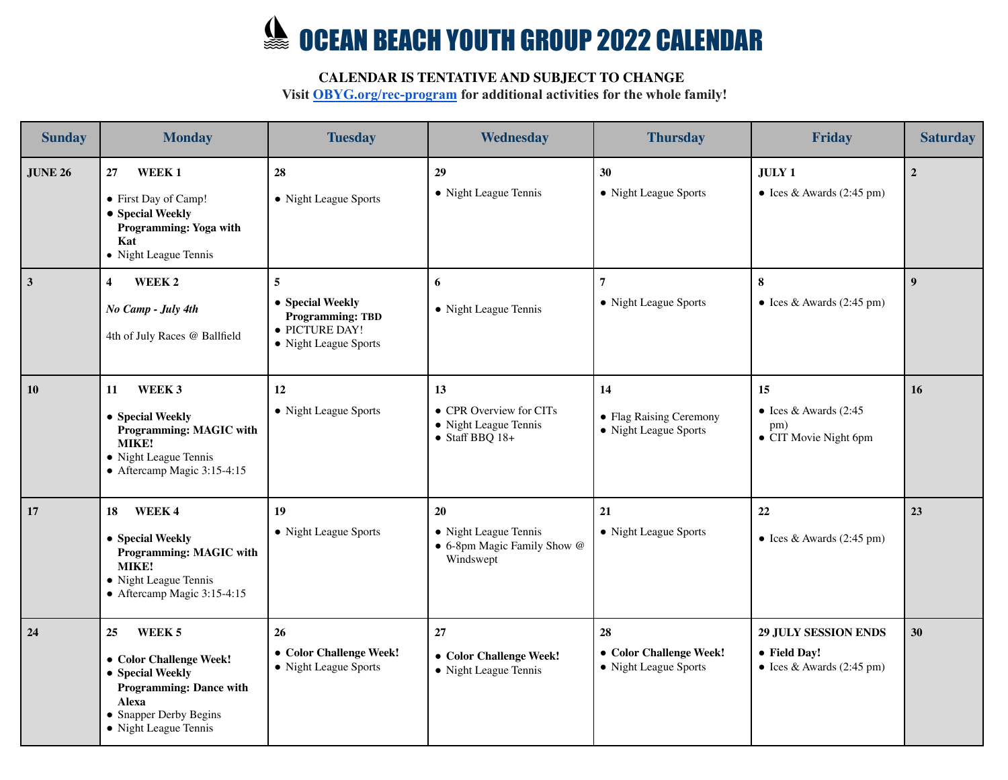## **SEAN BEACH YOUTH GROUP 2022 CALENDAR**

## **CALENDAR IS TENTATIVE AND SUBJECT TO CHANGE**

**Visit [OBYG.org/rec-program](http://obyg.org/rec-program) for additional activities for the whole family!**

| <b>Sunday</b>   | <b>Monday</b>                                                                                                                                                    | <b>Tuesday</b>                                                                              | Wednesday                                                                         | <b>Thursday</b>                                        | <b>Friday</b>                                                                    | <b>Saturday</b>  |
|-----------------|------------------------------------------------------------------------------------------------------------------------------------------------------------------|---------------------------------------------------------------------------------------------|-----------------------------------------------------------------------------------|--------------------------------------------------------|----------------------------------------------------------------------------------|------------------|
| <b>JUNE 26</b>  | WEEK <sub>1</sub><br>27<br>• First Day of Camp!<br>• Special Weekly<br>Programming: Yoga with<br>Kat<br>• Night League Tennis                                    | 28<br>• Night League Sports                                                                 | 29<br>• Night League Tennis                                                       | 30<br>• Night League Sports                            | <b>JULY 1</b><br>• Ices & Awards $(2:45 \text{ pm})$                             | $\overline{2}$   |
| $\vert 3 \vert$ | WEEK <sub>2</sub><br>$\overline{4}$<br>No Camp - July 4th<br>4th of July Races @ Ballfield                                                                       | 5<br>• Special Weekly<br><b>Programming: TBD</b><br>· PICTURE DAY!<br>• Night League Sports | 6<br>• Night League Tennis                                                        | $\overline{7}$<br>• Night League Sports                | 8<br>• Ices & Awards $(2:45 \text{ pm})$                                         | $\boldsymbol{9}$ |
| 10              | WEEK 3<br>11<br>• Special Weekly<br>Programming: MAGIC with<br>MIKE!<br>• Night League Tennis<br>$\bullet$ Aftercamp Magic 3:15-4:15                             | 12<br>• Night League Sports                                                                 | 13<br>• CPR Overview for CITs<br>• Night League Tennis<br>$\bullet$ Staff BBQ 18+ | 14<br>• Flag Raising Ceremony<br>• Night League Sports | 15<br>• Ices & Awards $(2:45)$<br>pm)<br>• CIT Movie Night 6pm                   | 16               |
| 17              | WEEK 4<br>18<br>• Special Weekly<br>Programming: MAGIC with<br>MIKE!<br>• Night League Tennis<br>$\bullet$ Aftercamp Magic 3:15-4:15                             | 19<br>• Night League Sports                                                                 | 20<br>• Night League Tennis<br>• 6-8pm Magic Family Show @<br>Windswept           | 21<br>• Night League Sports                            | 22<br>$\bullet$ Ices & Awards (2:45 pm)                                          | 23               |
| 24              | WEEK 5<br>25<br>• Color Challenge Week!<br>• Special Weekly<br><b>Programming: Dance with</b><br><b>Alexa</b><br>• Snapper Derby Begins<br>• Night League Tennis | 26<br>• Color Challenge Week!<br>• Night League Sports                                      | 27<br>• Color Challenge Week!<br>• Night League Tennis                            | 28<br>• Color Challenge Week!<br>• Night League Sports | <b>29 JULY SESSION ENDS</b><br>• Field Day!<br>$\bullet$ Ices & Awards (2:45 pm) | 30               |